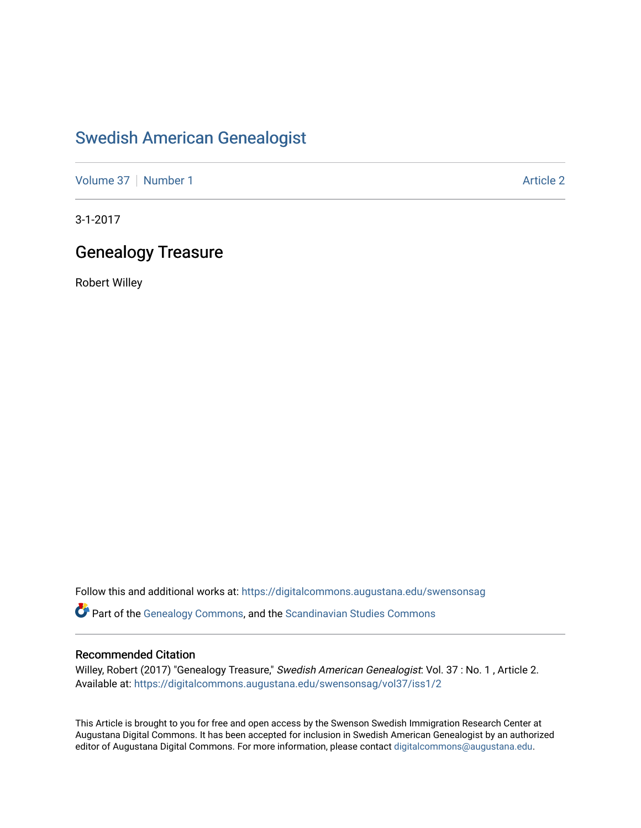# [Swedish American Genealogist](https://digitalcommons.augustana.edu/swensonsag)

[Volume 37](https://digitalcommons.augustana.edu/swensonsag/vol37) | [Number 1](https://digitalcommons.augustana.edu/swensonsag/vol37/iss1) Article 2

3-1-2017

## Genealogy Treasure

Robert Willey

Follow this and additional works at: [https://digitalcommons.augustana.edu/swensonsag](https://digitalcommons.augustana.edu/swensonsag?utm_source=digitalcommons.augustana.edu%2Fswensonsag%2Fvol37%2Fiss1%2F2&utm_medium=PDF&utm_campaign=PDFCoverPages) 

Part of the [Genealogy Commons,](http://network.bepress.com/hgg/discipline/1342?utm_source=digitalcommons.augustana.edu%2Fswensonsag%2Fvol37%2Fiss1%2F2&utm_medium=PDF&utm_campaign=PDFCoverPages) and the [Scandinavian Studies Commons](http://network.bepress.com/hgg/discipline/485?utm_source=digitalcommons.augustana.edu%2Fswensonsag%2Fvol37%2Fiss1%2F2&utm_medium=PDF&utm_campaign=PDFCoverPages)

## Recommended Citation

Willey, Robert (2017) "Genealogy Treasure," Swedish American Genealogist: Vol. 37 : No. 1, Article 2. Available at: [https://digitalcommons.augustana.edu/swensonsag/vol37/iss1/2](https://digitalcommons.augustana.edu/swensonsag/vol37/iss1/2?utm_source=digitalcommons.augustana.edu%2Fswensonsag%2Fvol37%2Fiss1%2F2&utm_medium=PDF&utm_campaign=PDFCoverPages) 

This Article is brought to you for free and open access by the Swenson Swedish Immigration Research Center at Augustana Digital Commons. It has been accepted for inclusion in Swedish American Genealogist by an authorized editor of Augustana Digital Commons. For more information, please contact [digitalcommons@augustana.edu.](mailto:digitalcommons@augustana.edu)